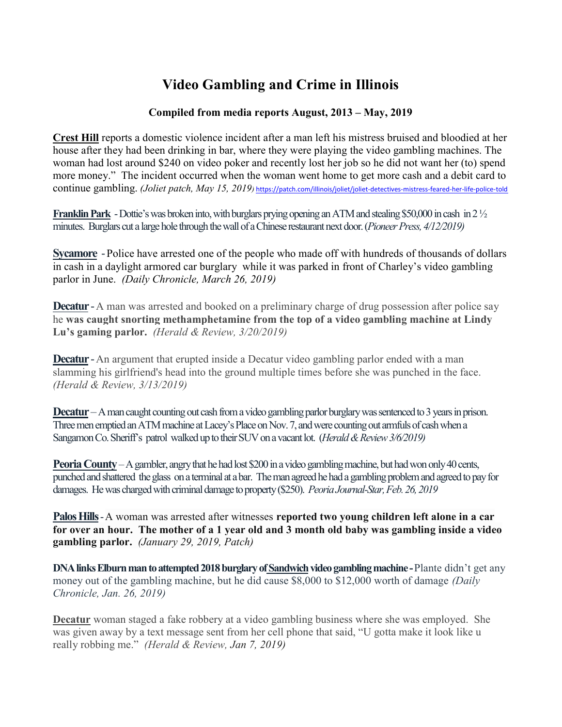## Video Gambling and Crime in Illinois

## Compiled from media reports August, 2013 – May, 2019

Crest Hill reports a domestic violence incident after a man left his mistress bruised and bloodied at her house after they had been drinking in bar, where they were playing the video gambling machines. The woman had lost around \$240 on video poker and recently lost her job so he did not want her (to) spend more money." The incident occurred when the woman went home to get more cash and a debit card to continue gambling. (Joliet patch, May 15, 2019) https://patch.com/illinois/joliet/joliet-detectives-mistress-feared-her-life-police-told

Franklin Park - Dottie's was broken into, with burglars prying opening an ATM and stealing \$50,000 in cash in 2 ½ minutes. Burglars cut a large hole through the wall of a Chinese restaurant next door. (Pioneer Press, 4/12/2019)

Sycamore - Police have arrested one of the people who made off with hundreds of thousands of dollars in cash in a daylight armored car burglary while it was parked in front of Charley's video gambling parlor in June. (Daily Chronicle, March 26, 2019)

**Decatur** - A man was arrested and booked on a preliminary charge of drug possession after police say he was caught snorting methamphetamine from the top of a video gambling machine at Lindy Lu's gaming parlor. (Herald & Review, 3/20/2019)

**Decatur** - An argument that erupted inside a Decatur video gambling parlor ended with a man slamming his girlfriend's head into the ground multiple times before she was punched in the face. (Herald & Review, 3/13/2019)

Decatur – A man caught counting out cash from a video gambling parlor burglary was sentenced to 3 years in prison. Three men emptied an ATM machine at Lacey's Place on Nov. 7, and were counting out armfuls of cash when a Sangamon Co. Sheriff's patrol walked up to their SUV on a vacant lot. (Herald & Review 3/6/2019)

Peoria County – A gambler, angry that he had lost \$200 in a video gambling machine, but had won only 40 cents, punched and shattered the glass on a terminal at a bar. The man agreed he had a gambling problem and agreed to pay for damages. He was charged with criminal damage to property (\$250). Peoria Journal-Star, Feb. 26, 2019

Palos Hills - A woman was arrested after witnesses reported two young children left alone in a car for over an hour. The mother of a 1 year old and 3 month old baby was gambling inside a video gambling parlor. (January 29, 2019, Patch)

DNA links Elburn man to attempted 2018 burglary of Sandwich video gambling machine - Plante didn't get any money out of the gambling machine, but he did cause \$8,000 to \$12,000 worth of damage *(Daily* Chronicle, Jan. 26, 2019)

Decatur woman staged a fake robbery at a video gambling business where she was employed. She was given away by a text message sent from her cell phone that said, "U gotta make it look like u really robbing me." (Herald & Review, Jan 7, 2019)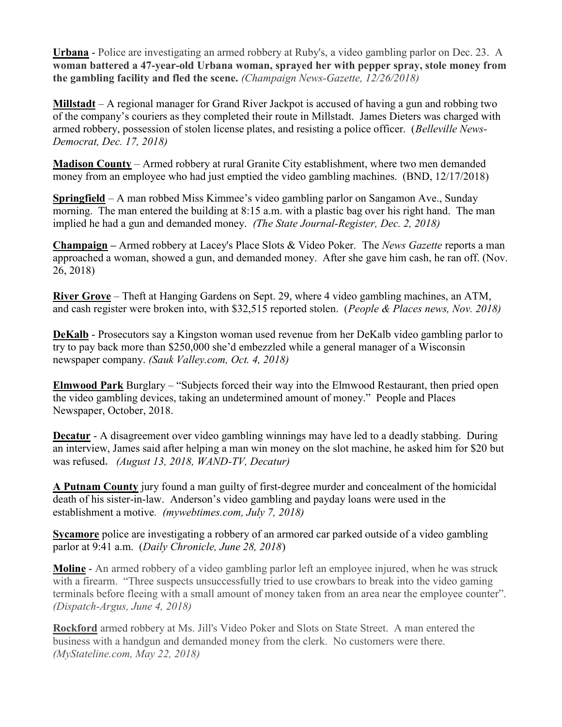Urbana - Police are investigating an armed robbery at Ruby's, a video gambling parlor on Dec. 23. A woman battered a 47-year-old Urbana woman, sprayed her with pepper spray, stole money from the gambling facility and fled the scene. (Champaign News-Gazette, 12/26/2018)

Millstadt – A regional manager for Grand River Jackpot is accused of having a gun and robbing two of the company's couriers as they completed their route in Millstadt. James Dieters was charged with armed robbery, possession of stolen license plates, and resisting a police officer. (Belleville News-Democrat, Dec. 17, 2018)

Madison County – Armed robbery at rural Granite City establishment, where two men demanded money from an employee who had just emptied the video gambling machines. (BND, 12/17/2018)

Springfield – A man robbed Miss Kimmee's video gambling parlor on Sangamon Ave., Sunday morning. The man entered the building at 8:15 a.m. with a plastic bag over his right hand. The man implied he had a gun and demanded money. (The State Journal-Register, Dec. 2, 2018)

Champaign – Armed robbery at Lacey's Place Slots & Video Poker. The News Gazette reports a man approached a woman, showed a gun, and demanded money. After she gave him cash, he ran off. (Nov. 26, 2018)

River Grove – Theft at Hanging Gardens on Sept. 29, where 4 video gambling machines, an ATM, and cash register were broken into, with \$32,515 reported stolen. (People & Places news, Nov. 2018)

DeKalb - Prosecutors say a Kingston woman used revenue from her DeKalb video gambling parlor to try to pay back more than \$250,000 she'd embezzled while a general manager of a Wisconsin newspaper company. (Sauk Valley.com, Oct. 4, 2018)

Elmwood Park Burglary – "Subjects forced their way into the Elmwood Restaurant, then pried open the video gambling devices, taking an undetermined amount of money." People and Places Newspaper, October, 2018.

Decatur - A disagreement over video gambling winnings may have led to a deadly stabbing. During an interview, James said after helping a man win money on the slot machine, he asked him for \$20 but was refused. (August 13, 2018, WAND-TV, Decatur)

A Putnam County jury found a man guilty of first-degree murder and concealment of the homicidal death of his sister-in-law. Anderson's video gambling and payday loans were used in the establishment a motive. (mywebtimes.com, July 7, 2018)

**Sycamore** police are investigating a robbery of an armored car parked outside of a video gambling parlor at 9:41 a.m. (Daily Chronicle, June 28, 2018)

Moline - An armed robbery of a video gambling parlor left an employee injured, when he was struck with a firearm. "Three suspects unsuccessfully tried to use crowbars to break into the video gaming terminals before fleeing with a small amount of money taken from an area near the employee counter". (Dispatch-Argus, June 4, 2018)

Rockford armed robbery at Ms. Jill's Video Poker and Slots on State Street. A man entered the business with a handgun and demanded money from the clerk. No customers were there. (MyStateline.com, May 22, 2018)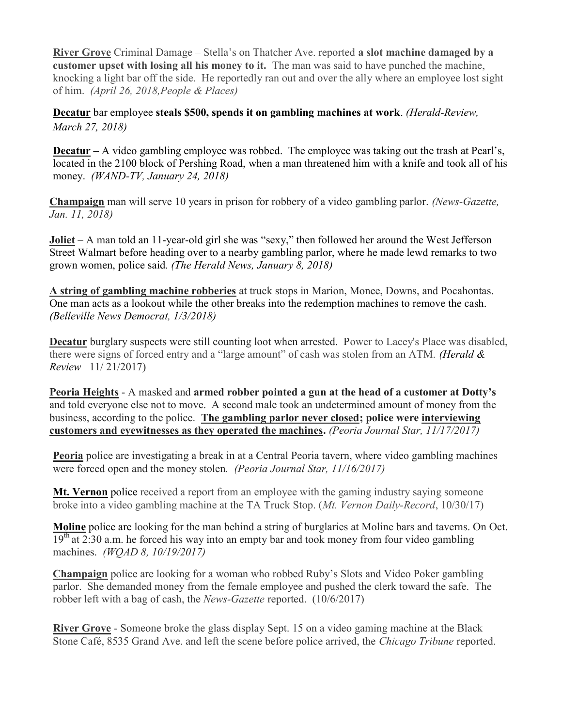River Grove Criminal Damage – Stella's on Thatcher Ave. reported a slot machine damaged by a customer upset with losing all his money to it. The man was said to have punched the machine, knocking a light bar off the side. He reportedly ran out and over the ally where an employee lost sight of him. (April 26, 2018,People & Places)

Decatur bar employee steals \$500, spends it on gambling machines at work. (Herald-Review, March 27, 2018)

Decatur – A video gambling employee was robbed. The employee was taking out the trash at Pearl's, located in the 2100 block of Pershing Road, when a man threatened him with a knife and took all of his money. (WAND-TV, January 24, 2018)

Champaign man will serve 10 years in prison for robbery of a video gambling parlor. (News-Gazette, Jan. 11, 2018)

Joliet – A man told an 11-year-old girl she was "sexy," then followed her around the West Jefferson Street Walmart before heading over to a nearby gambling parlor, where he made lewd remarks to two grown women, police said. (The Herald News, January 8, 2018)

A string of gambling machine robberies at truck stops in Marion, Monee, Downs, and Pocahontas. One man acts as a lookout while the other breaks into the redemption machines to remove the cash. (Belleville News Democrat, 1/3/2018)

Decatur burglary suspects were still counting loot when arrested. Power to Lacey's Place was disabled, there were signs of forced entry and a "large amount" of cash was stolen from an ATM. (Herald  $\&$ Review 11/ 21/2017)

Peoria Heights - A masked and armed robber pointed a gun at the head of a customer at Dotty's and told everyone else not to move. A second male took an undetermined amount of money from the business, according to the police. The gambling parlor never closed; police were interviewing customers and eyewitnesses as they operated the machines. (Peoria Journal Star, 11/17/2017)

Peoria police are investigating a break in at a Central Peoria tavern, where video gambling machines were forced open and the money stolen. (Peoria Journal Star, 11/16/2017)

**Mt. Vernon** police received a report from an employee with the gaming industry saying someone broke into a video gambling machine at the TA Truck Stop. (Mt. Vernon Daily-Record, 10/30/17)

Moline police are looking for the man behind a string of burglaries at Moline bars and taverns. On Oct.  $19<sup>th</sup>$  at 2:30 a.m. he forced his way into an empty bar and took money from four video gambling machines. (WQAD 8, 10/19/2017)

Champaign police are looking for a woman who robbed Ruby's Slots and Video Poker gambling parlor. She demanded money from the female employee and pushed the clerk toward the safe. The robber left with a bag of cash, the News-Gazette reported. (10/6/2017)

River Grove - Someone broke the glass display Sept. 15 on a video gaming machine at the Black Stone Café, 8535 Grand Ave. and left the scene before police arrived, the Chicago Tribune reported.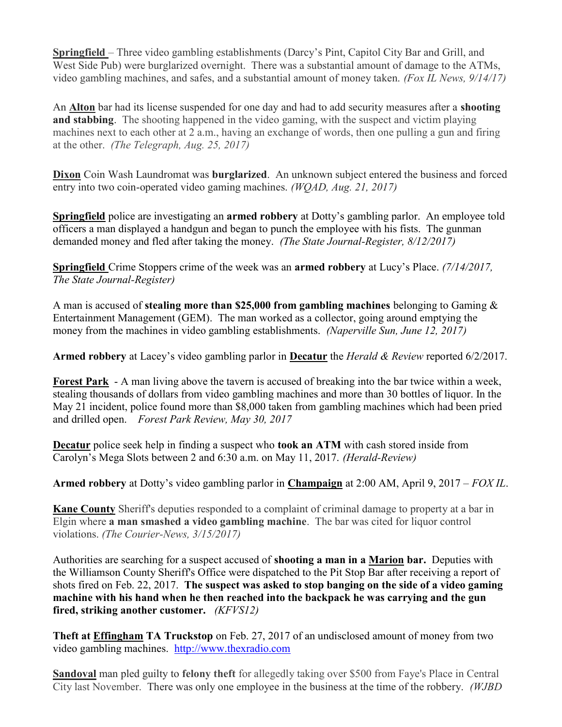Springfield – Three video gambling establishments (Darcy's Pint, Capitol City Bar and Grill, and West Side Pub) were burglarized overnight. There was a substantial amount of damage to the ATMs, video gambling machines, and safes, and a substantial amount of money taken. (Fox IL News, 9/14/17)

An Alton bar had its license suspended for one day and had to add security measures after a **shooting** and stabbing. The shooting happened in the video gaming, with the suspect and victim playing machines next to each other at 2 a.m., having an exchange of words, then one pulling a gun and firing at the other. (The Telegraph, Aug. 25, 2017)

Dixon Coin Wash Laundromat was **burglarized.** An unknown subject entered the business and forced entry into two coin-operated video gaming machines. (WQAD, Aug. 21, 2017)

Springfield police are investigating an armed robbery at Dotty's gambling parlor. An employee told officers a man displayed a handgun and began to punch the employee with his fists. The gunman demanded money and fled after taking the money. (The State Journal-Register, 8/12/2017)

Springfield Crime Stoppers crime of the week was an armed robbery at Lucy's Place. (7/14/2017, The State Journal-Register)

A man is accused of **stealing more than \$25,000 from gambling machines** belonging to Gaming  $\&$ Entertainment Management (GEM). The man worked as a collector, going around emptying the money from the machines in video gambling establishments. (Naperville Sun, June 12, 2017)

Armed robbery at Lacey's video gambling parlor in Decatur the *Herald & Review* reported 6/2/2017.

Forest Park - A man living above the tavern is accused of breaking into the bar twice within a week, stealing thousands of dollars from video gambling machines and more than 30 bottles of liquor. In the May 21 incident, police found more than \$8,000 taken from gambling machines which had been pried and drilled open. Forest Park Review, May 30, 2017

Decatur police seek help in finding a suspect who took an ATM with cash stored inside from Carolyn's Mega Slots between 2 and 6:30 a.m. on May 11, 2017. (Herald-Review)

Armed robbery at Dotty's video gambling parlor in Champaign at 2:00 AM, April 9, 2017 – FOX IL.

**Kane County** Sheriff's deputies responded to a complaint of criminal damage to property at a bar in Elgin where a man smashed a video gambling machine. The bar was cited for liquor control violations. (The Courier-News, 3/15/2017)

Authorities are searching for a suspect accused of shooting a man in a Marion bar. Deputies with the Williamson County Sheriff's Office were dispatched to the Pit Stop Bar after receiving a report of shots fired on Feb. 22, 2017. The suspect was asked to stop banging on the side of a video gaming machine with his hand when he then reached into the backpack he was carrying and the gun fired, striking another customer. (KFVS12)

Theft at **Effingham TA Truckstop** on Feb. 27, 2017 of an undisclosed amount of money from two video gambling machines. http://www.thexradio.com

Sandoval man pled guilty to felony theft for allegedly taking over \$500 from Faye's Place in Central City last November. There was only one employee in the business at the time of the robbery. (WJBD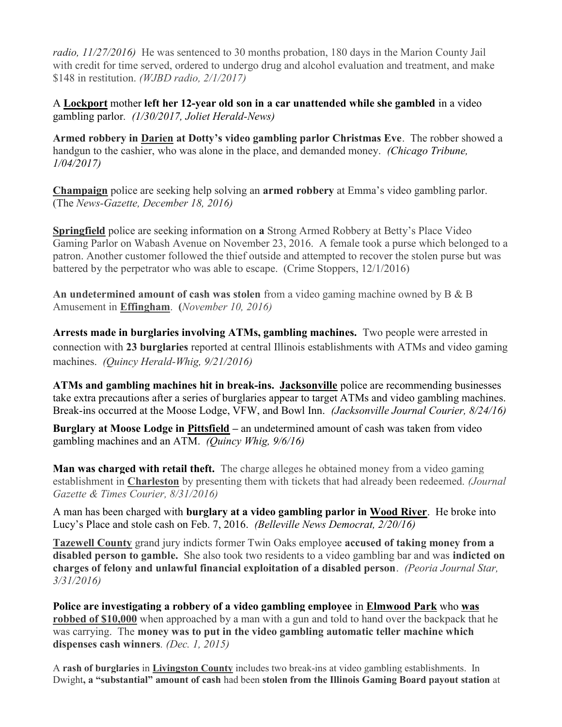radio, 11/27/2016) He was sentenced to 30 months probation, 180 days in the Marion County Jail with credit for time served, ordered to undergo drug and alcohol evaluation and treatment, and make \$148 in restitution. (*WJBD radio, 2/1/2017*)

A Lockport mother left her 12-year old son in a car unattended while she gambled in a video gambling parlor. (1/30/2017, Joliet Herald-News)

Armed robbery in Darien at Dotty's video gambling parlor Christmas Eve. The robber showed a handgun to the cashier, who was alone in the place, and demanded money. (Chicago Tribune, 1/04/2017)

Champaign police are seeking help solving an armed robbery at Emma's video gambling parlor. (The News-Gazette, December 18, 2016)

Springfield police are seeking information on a Strong Armed Robbery at Betty's Place Video Gaming Parlor on Wabash Avenue on November 23, 2016. A female took a purse which belonged to a patron. Another customer followed the thief outside and attempted to recover the stolen purse but was battered by the perpetrator who was able to escape. (Crime Stoppers, 12/1/2016)

An undetermined amount of cash was stolen from a video gaming machine owned by  $B \& B$ Amusement in Effingham. (November 10, 2016)

Arrests made in burglaries involving ATMs, gambling machines. Two people were arrested in connection with 23 burglaries reported at central Illinois establishments with ATMs and video gaming machines. (Quincy Herald-Whig, 9/21/2016)

ATMs and gambling machines hit in break-ins. Jacksonville police are recommending businesses take extra precautions after a series of burglaries appear to target ATMs and video gambling machines. Break-ins occurred at the Moose Lodge, VFW, and Bowl Inn. (Jacksonville Journal Courier, 8/24/16)

Burglary at Moose Lodge in Pittsfield – an undetermined amount of cash was taken from video gambling machines and an ATM. (Quincy Whig, 9/6/16)

Man was charged with retail theft. The charge alleges he obtained money from a video gaming establishment in Charleston by presenting them with tickets that had already been redeemed. *(Journal*) Gazette & Times Courier, 8/31/2016)

A man has been charged with burglary at a video gambling parlor in Wood River. He broke into Lucy's Place and stole cash on Feb. 7, 2016. (Belleville News Democrat, 2/20/16)

Tazewell County grand jury indicts former Twin Oaks employee accused of taking money from a disabled person to gamble. She also took two residents to a video gambling bar and was indicted on charges of felony and unlawful financial exploitation of a disabled person. (Peoria Journal Star, 3/31/2016)

Police are investigating a robbery of a video gambling employee in Elmwood Park who was robbed of \$10,000 when approached by a man with a gun and told to hand over the backpack that he was carrying. The money was to put in the video gambling automatic teller machine which dispenses cash winners. (Dec. 1, 2015)

A rash of burglaries in Livingston County includes two break-ins at video gambling establishments. In Dwight, a "substantial" amount of cash had been stolen from the Illinois Gaming Board payout station at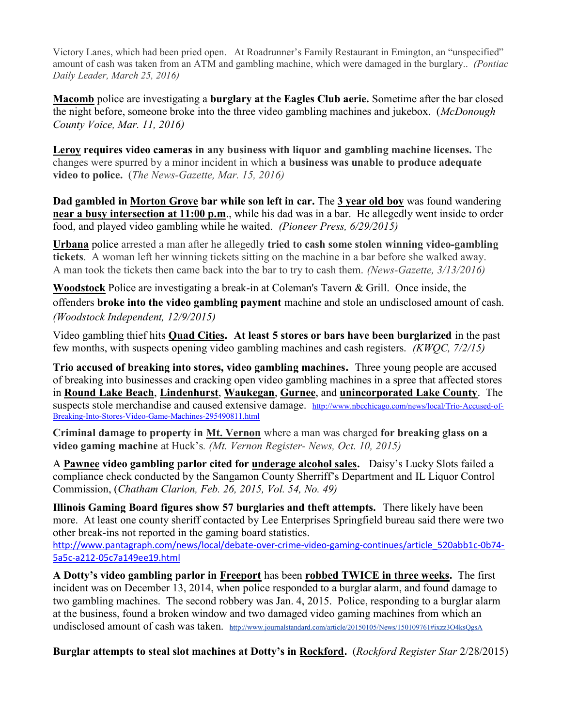Victory Lanes, which had been pried open. At Roadrunner's Family Restaurant in Emington, an "unspecified" amount of cash was taken from an ATM and gambling machine, which were damaged in the burglary.. (Pontiac Daily Leader, March 25, 2016)

Macomb police are investigating a burglary at the Eagles Club aerie. Sometime after the bar closed the night before, someone broke into the three video gambling machines and jukebox. (McDonough County Voice, Mar. 11, 2016)

Leroy requires video cameras in any business with liquor and gambling machine licenses. The changes were spurred by a minor incident in which a business was unable to produce adequate video to police. (The News-Gazette, Mar. 15, 2016)

Dad gambled in Morton Grove bar while son left in car. The 3 year old boy was found wandering near a busy intersection at 11:00 p.m., while his dad was in a bar. He allegedly went inside to order food, and played video gambling while he waited. (Pioneer Press, 6/29/2015)

Urbana police arrested a man after he allegedly tried to cash some stolen winning video-gambling tickets. A woman left her winning tickets sitting on the machine in a bar before she walked away. A man took the tickets then came back into the bar to try to cash them. (News-Gazette, 3/13/2016)

Woodstock Police are investigating a break-in at Coleman's Tavern & Grill. Once inside, the offenders broke into the video gambling payment machine and stole an undisclosed amount of cash. (Woodstock Independent, 12/9/2015)

Video gambling thief hits Quad Cities. At least 5 stores or bars have been burglarized in the past few months, with suspects opening video gambling machines and cash registers. (KWQC, 7/2/15)

Trio accused of breaking into stores, video gambling machines. Three young people are accused of breaking into businesses and cracking open video gambling machines in a spree that affected stores in Round Lake Beach, Lindenhurst, Waukegan, Gurnee, and unincorporated Lake County. The suspects stole merchandise and caused extensive damage. http://www.nbcchicago.com/news/local/Trio-Accused-of-Breaking-Into-Stores-Video-Game-Machines-295490811.html

Criminal damage to property in Mt. Vernon where a man was charged for breaking glass on a video gaming machine at Huck's. (Mt. Vernon Register- News, Oct. 10, 2015)

A Pawnee video gambling parlor cited for underage alcohol sales. Daisy's Lucky Slots failed a compliance check conducted by the Sangamon County Sherriff's Department and IL Liquor Control Commission, (Chatham Clarion, Feb. 26, 2015, Vol. 54, No. 49)

Illinois Gaming Board figures show 57 burglaries and theft attempts. There likely have been more. At least one county sheriff contacted by Lee Enterprises Springfield bureau said there were two other break-ins not reported in the gaming board statistics.

http://www.pantagraph.com/news/local/debate-over-crime-video-gaming-continues/article\_520abb1c-0b74-5a5c-a212-05c7a149ee19.html

A Dotty's video gambling parlor in Freeport has been robbed TWICE in three weeks. The first incident was on December 13, 2014, when police responded to a burglar alarm, and found damage to two gambling machines. The second robbery was Jan. 4, 2015. Police, responding to a burglar alarm at the business, found a broken window and two damaged video gaming machines from which an undisclosed amount of cash was taken. http://www.journalstandard.com/article/20150105/News/150109761#ixzz3O4ksQgsA

Burglar attempts to steal slot machines at Dotty's in Rockford. (Rockford Register Star 2/28/2015)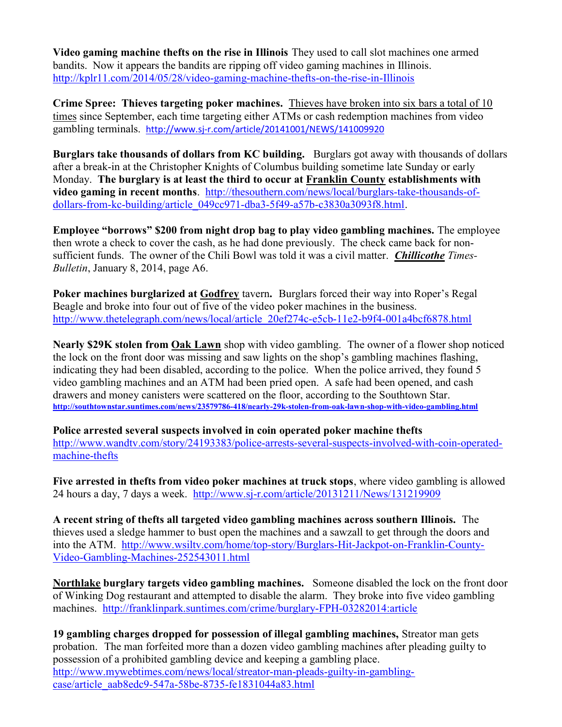Video gaming machine thefts on the rise in Illinois They used to call slot machines one armed bandits. Now it appears the bandits are ripping off video gaming machines in Illinois. http://kplr11.com/2014/05/28/video-gaming-machine-thefts-on-the-rise-in-Illinois

Crime Spree: Thieves targeting poker machines. Thieves have broken into six bars a total of 10 times since September, each time targeting either ATMs or cash redemption machines from video gambling terminals. http://www.sj-r.com/article/20141001/NEWS/141009920

Burglars take thousands of dollars from KC building. Burglars got away with thousands of dollars after a break-in at the Christopher Knights of Columbus building sometime late Sunday or early Monday. The burglary is at least the third to occur at Franklin County establishments with video gaming in recent months. http://thesouthern.com/news/local/burglars-take-thousands-ofdollars-from-kc-building/article\_049cc971-dba3-5f49-a57b-c3830a3093f8.html.

Employee "borrows" \$200 from night drop bag to play video gambling machines. The employee then wrote a check to cover the cash, as he had done previously. The check came back for nonsufficient funds. The owner of the Chili Bowl was told it was a civil matter. **Chillicothe** Times-Bulletin, January 8, 2014, page A6.

Poker machines burglarized at Godfrey tavern. Burglars forced their way into Roper's Regal Beagle and broke into four out of five of the video poker machines in the business. http://www.thetelegraph.com/news/local/article\_20ef274c-e5cb-11e2-b9f4-001a4bcf6878.html

Nearly \$29K stolen from Oak Lawn shop with video gambling. The owner of a flower shop noticed the lock on the front door was missing and saw lights on the shop's gambling machines flashing, indicating they had been disabled, according to the police. When the police arrived, they found 5 video gambling machines and an ATM had been pried open. A safe had been opened, and cash drawers and money canisters were scattered on the floor, according to the Southtown Star. http://southtownstar.suntimes.com/news/23579786-418/nearly-29k-stolen-from-oak-lawn-shop-with-video-gambling.html

Police arrested several suspects involved in coin operated poker machine thefts http://www.wandtv.com/story/24193383/police-arrests-several-suspects-involved-with-coin-operatedmachine-thefts

Five arrested in thefts from video poker machines at truck stops, where video gambling is allowed 24 hours a day, 7 days a week. http://www.sj-r.com/article/20131211/News/131219909

A recent string of thefts all targeted video gambling machines across southern Illinois. The thieves used a sledge hammer to bust open the machines and a sawzall to get through the doors and into the ATM. http://www.wsiltv.com/home/top-story/Burglars-Hit-Jackpot-on-Franklin-County-Video-Gambling-Machines-252543011.html

Northlake burglary targets video gambling machines. Someone disabled the lock on the front door of Winking Dog restaurant and attempted to disable the alarm. They broke into five video gambling machines. http://franklinpark.suntimes.com/crime/burglary-FPH-03282014:article

19 gambling charges dropped for possession of illegal gambling machines, Streator man gets probation. The man forfeited more than a dozen video gambling machines after pleading guilty to possession of a prohibited gambling device and keeping a gambling place. http://www.mywebtimes.com/news/local/streator-man-pleads-guilty-in-gamblingcase/article\_aab8edc9-547a-58be-8735-fe1831044a83.html